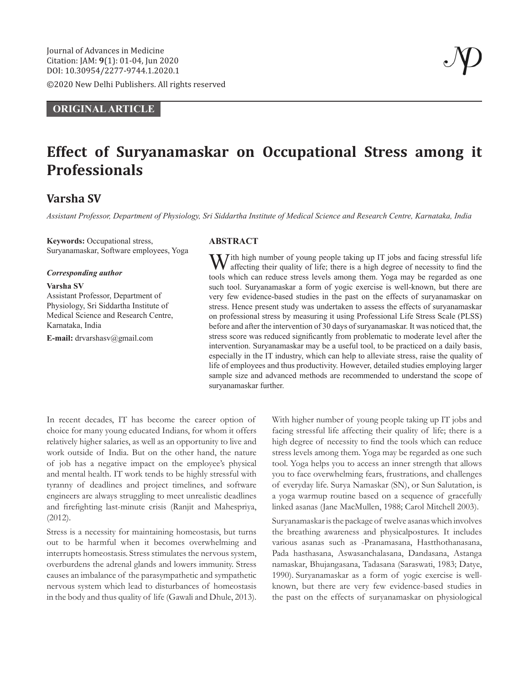©2020 New Delhi Publishers. All rights reserved

# **ORIGINAL ARTICLE**

# **Effect of Suryanamaskar on Occupational Stress among it Professionals**

# **Varsha SV**

*Assistant Professor, Department of Physiology, Sri Siddartha Institute of Medical Science and Research Centre, Karnataka, India*

**Keywords:** Occupational stress, Suryanamaskar, Software employees, Yoga

#### *Corresponding author*

#### **Varsha SV**

Assistant Professor, Department of Physiology, Sri Siddartha Institute of Medical Science and Research Centre, Karnataka, India

**E-mail:** drvarshasv@gmail.com

# **ABSTRACT**

 $J$ ith high number of young people taking up IT jobs and facing stressful life affecting their quality of life; there is a high degree of necessity to find the tools which can reduce stress levels among them. Yoga may be regarded as one such tool. Suryanamaskar a form of yogic exercise is well-known, but there are very few evidence-based studies in the past on the effects of suryanamaskar on stress. Hence present study was undertaken to assess the effects of suryanamaskar on professional stress by measuring it using Professional Life Stress Scale (PLSS) before and after the intervention of 30 days of suryanamaskar. It was noticed that, the stress score was reduced significantly from problematic to moderate level after the intervention. Suryanamaskar may be a useful tool, to be practiced on a daily basis, especially in the IT industry, which can help to alleviate stress, raise the quality of life of employees and thus productivity. However, detailed studies employing larger sample size and advanced methods are recommended to understand the scope of suryanamaskar further.

In recent decades, IT has become the career option of choice for many young educated Indians, for whom it offers relatively higher salaries, as well as an opportunity to live and work outside of India. But on the other hand, the nature of job has a negative impact on the employee's physical and mental health. IT work tends to be highly stressful with tyranny of deadlines and project timelines, and software engineers are always struggling to meet unrealistic deadlines and firefighting last-minute crisis (Ranjit and Mahespriya, (2012).

Stress is a necessity for maintaining homeostasis, but turns out to be harmful when it becomes overwhelming and interrupts homeostasis. Stress stimulates the nervous system, overburdens the adrenal glands and lowers immunity. Stress causes an imbalance of the parasympathetic and sympathetic nervous system which lead to disturbances of homeostasis in the body and thus quality of life (Gawali and Dhule, 2013). With higher number of young people taking up IT jobs and facing stressful life affecting their quality of life; there is a high degree of necessity to find the tools which can reduce stress levels among them. Yoga may be regarded as one such tool. Yoga helps you to access an inner strength that allows you to face overwhelming fears, frustrations, and challenges of everyday life. Surya Namaskar (SN), or Sun Salutation, is a yoga warmup routine based on a sequence of gracefully linked asanas (Jane MacMullen, 1988; Carol Mitchell 2003).

Suryanamaskar is the package of twelve asanas which involves the breathing awareness and physicalpostures. It includes various asanas such as -Pranamasana, Hastthothanasana, Pada hasthasana, Aswasanchalasana, Dandasana, Astanga namaskar, Bhujangasana, Tadasana (Saraswati, 1983; Datye, 1990). Suryanamaskar as a form of yogic exercise is wellknown, but there are very few evidence-based studies in the past on the effects of suryanamaskar on physiological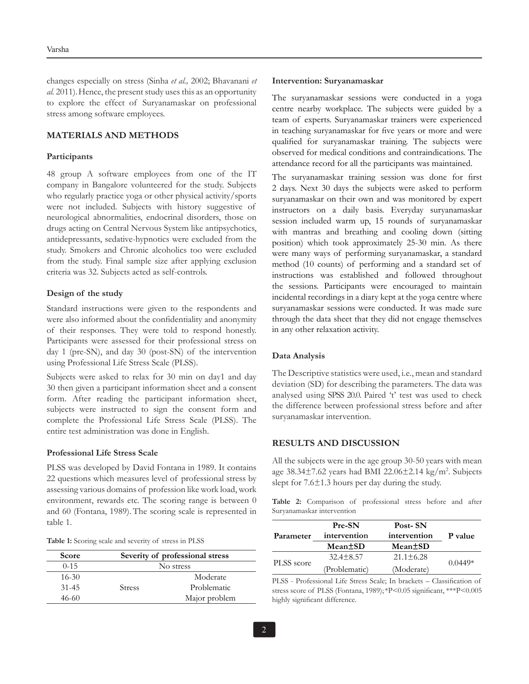changes especially on stress (Sinha *et al.,* 2002; Bhavanani *et al.* 2011).Hence, the present study uses this as an opportunity to explore the effect of Suryanamaskar on professional stress among software employees.

## **MATERIALS AND METHODS**

#### **Participants**

48 group A software employees from one of the IT company in Bangalore volunteered for the study. Subjects who regularly practice yoga or other physical activity/sports were not included. Subjects with history suggestive of neurological abnormalities, endocrinal disorders, those on drugs acting on Central Nervous System like antipsychotics, antidepressants, sedative-hypnotics were excluded from the study. Smokers and Chronic alcoholics too were excluded from the study. Final sample size after applying exclusion criteria was 32. Subjects acted as self-controls.

#### **Design of the study**

Standard instructions were given to the respondents and were also informed about the confidentiality and anonymity of their responses. They were told to respond honestly. Participants were assessed for their professional stress on day 1 (pre-SN), and day 30 (post-SN) of the intervention using Professional Life Stress Scale (PLSS).

Subjects were asked to relax for 30 min on day1 and day 30 then given a participant information sheet and a consent form. After reading the participant information sheet, subjects were instructed to sign the consent form and complete the Professional Life Stress Scale (PLSS). The entire test administration was done in English.

#### **Professional Life Stress Scale**

PLSS was developed by David Fontana in 1989. It contains 22 questions which measures level of professional stress by assessing various domains of profession like work load, work environment, rewards etc. The scoring range is between 0 and 60 (Fontana, 1989). The scoring scale is represented in table 1.

**Table 1:** Scoring scale and severity of stress in PLSS

| <b>Score</b> | Severity of professional stress |               |
|--------------|---------------------------------|---------------|
| $0 - 15$     | No stress                       |               |
| $16 - 30$    |                                 | Moderate      |
| $31 - 45$    | <b>Stress</b>                   | Problematic   |
| 46-60        |                                 | Major problem |

#### **Intervention: Suryanamaskar**

The suryanamaskar sessions were conducted in a yoga centre nearby workplace. The subjects were guided by a team of experts. Suryanamaskar trainers were experienced in teaching suryanamaskar for five years or more and were qualified for suryanamaskar training. The subjects were observed for medical conditions and contraindications. The attendance record for all the participants was maintained.

The suryanamaskar training session was done for first 2 days. Next 30 days the subjects were asked to perform suryanamaskar on their own and was monitored by expert instructors on a daily basis. Everyday suryanamaskar session included warm up, 15 rounds of suryanamaskar with mantras and breathing and cooling down (sitting position) which took approximately 25-30 min. As there were many ways of performing suryanamaskar, a standard method (10 counts) of performing and a standard set of instructions was established and followed throughout the sessions. Participants were encouraged to maintain incidental recordings in a diary kept at the yoga centre where suryanamaskar sessions were conducted. It was made sure through the data sheet that they did not engage themselves in any other relaxation activity.

#### **Data Analysis**

The Descriptive statistics were used, i.e., mean and standard deviation (SD) for describing the parameters. The data was analysed using SPSS 20.0. Paired 't' test was used to check the difference between professional stress before and after suryanamaskar intervention.

#### **RESULTS AND DISCUSSION**

All the subjects were in the age group 30-50 years with mean age 38.34±7.62 years had BMI 22.06±2.14 kg/m2 . Subjects slept for  $7.6\pm1.3$  hours per day during the study.

**Table 2:** Comparison of professional stress before and after Suryanamaskar intervention

| Parameter  | Pre-SN<br>intervention | Post-SN<br>intervention | P value   |
|------------|------------------------|-------------------------|-----------|
|            | Mean <sup>+</sup> SD   | Mean <sup>+</sup> SD    |           |
| PLSS score | $32.4 \pm 8.57$        | $21.1 \pm 6.28$         | $0.0449*$ |
|            | (Problematic)          | (Moderate)              |           |

PLSS - Professional Life Stress Scale; In brackets – Classification of stress score of PLSS (Fontana, 1989); \*P<0.05 significant, \*\*\*P<0.005 highly significant difference.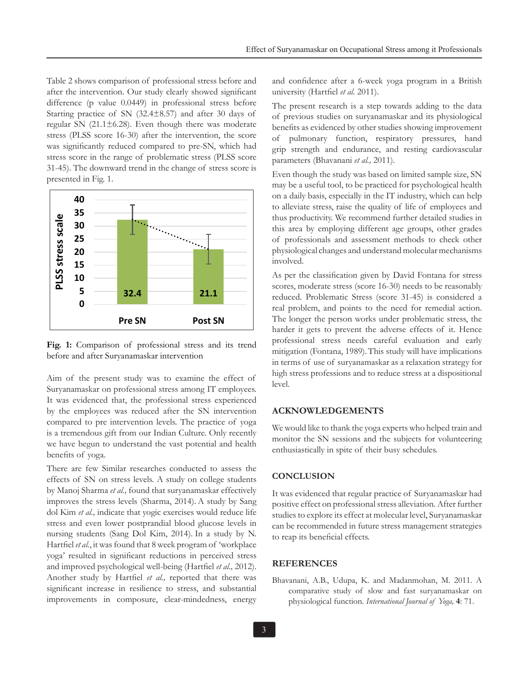Table 2 shows comparison of professional stress before and after the intervention. Our study clearly showed significant difference (p value 0.0449) in professional stress before Starting practice of SN (32.4±8.57) and after 30 days of regular SN (21.1±6.28). Even though there was moderate stress (PLSS score 16-30) after the intervention, the score was significantly reduced compared to pre-SN, which had stress score in the range of problematic stress (PLSS score 31-45). The downward trend in the change of stress score is presented in Fig. 1.



**Fig. 1:** Comparison of professional stress and its trend before and after Suryanamaskar intervention

Aim of the present study was to examine the effect of Suryanamaskar on professional stress among IT employees. It was evidenced that, the professional stress experienced by the employees was reduced after the SN intervention compared to pre intervention levels. The practice of yoga is a tremendous gift from our Indian Culture. Only recently we have begun to understand the vast potential and health benefits of yoga.

There are few Similar researches conducted to assess the effects of SN on stress levels. A study on college students by Manoj Sharma *et al.,* found that suryanamaskar effectively improves the stress levels (Sharma, 2014). A study by Sang dol Kim *et al.,* indicate that yogic exercises would reduce life stress and even lower postprandial blood glucose levels in nursing students (Sang Dol Kim, 2014). In a study by N. Hartfiel *et al.*, it was found that 8 week program of 'workplace yoga' resulted in significant reductions in perceived stress and improved psychological well-being (Hartfiel *et al.,* 2012). Another study by Hartfiel *et al.,* reported that there was significant increase in resilience to stress, and substantial improvements in composure, clear-mindedness, energy

and confidence after a 6-week yoga program in a British university (Hartfiel *et al.* 2011).

The present research is a step towards adding to the data of previous studies on suryanamaskar and its physiological benefits as evidenced by other studies showing improvement of pulmonary function, respiratory pressures, hand grip strength and endurance, and resting cardiovascular parameters (Bhavanani *et al.,* 2011).

Even though the study was based on limited sample size, SN may be a useful tool, to be practiced for psychological health on a daily basis, especially in the IT industry, which can help to alleviate stress, raise the quality of life of employees and thus productivity. We recommend further detailed studies in this area by employing different age groups, other grades of professionals and assessment methods to check other physiological changes and understand molecular mechanisms involved.

As per the classification given by David Fontana for stress scores, moderate stress (score 16-30) needs to be reasonably reduced. Problematic Stress (score 31-45) is considered a real problem, and points to the need for remedial action. The longer the person works under problematic stress, the harder it gets to prevent the adverse effects of it. Hence professional stress needs careful evaluation and early mitigation (Fontana, 1989).This study will have implications in terms of use of suryanamaskar as a relaxation strategy for high stress professions and to reduce stress at a dispositional level.

# **ACKNOWLEDGEMENTS**

We would like to thank the yoga experts who helped train and monitor the SN sessions and the subjects for volunteering enthusiastically in spite of their busy schedules.

#### **CONCLUSION**

It was evidenced that regular practice of Suryanamaskar had positive effect on professional stress alleviation. After further studies to explore its effect at molecular level, Suryanamaskar can be recommended in future stress management strategies to reap its beneficial effects.

### **REFERENCES**

Bhavanani, A.B., Udupa, K. and Madanmohan, M. 2011. A comparative study of slow and fast suryanamaskar on physiological function. *International Journal of Yoga,* **4**: 71.